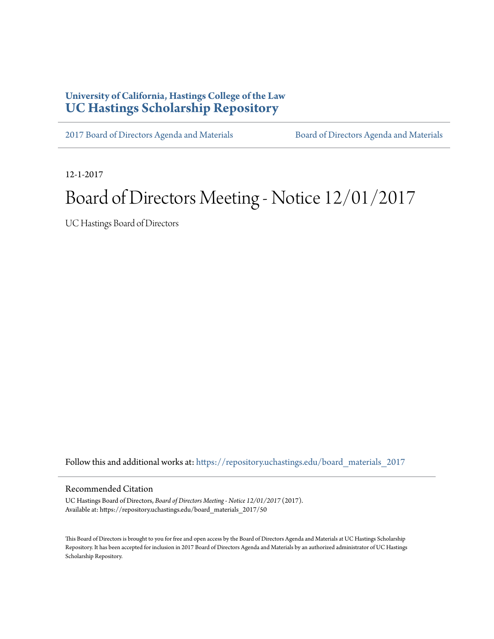## **University of California, Hastings College of the Law [UC Hastings Scholarship Repository](https://repository.uchastings.edu?utm_source=repository.uchastings.edu%2Fboard_materials_2017%2F50&utm_medium=PDF&utm_campaign=PDFCoverPages)**

[2017 Board of Directors Agenda and Materials](https://repository.uchastings.edu/board_materials_2017?utm_source=repository.uchastings.edu%2Fboard_materials_2017%2F50&utm_medium=PDF&utm_campaign=PDFCoverPages) [Board of Directors Agenda and Materials](https://repository.uchastings.edu/board_materials?utm_source=repository.uchastings.edu%2Fboard_materials_2017%2F50&utm_medium=PDF&utm_campaign=PDFCoverPages)

12-1-2017

# Board of Directors Meeting - Notice 12/01/2017

UC Hastings Board of Directors

Follow this and additional works at: [https://repository.uchastings.edu/board\\_materials\\_2017](https://repository.uchastings.edu/board_materials_2017?utm_source=repository.uchastings.edu%2Fboard_materials_2017%2F50&utm_medium=PDF&utm_campaign=PDFCoverPages)

#### Recommended Citation

UC Hastings Board of Directors, *Board of Directors Meeting - Notice 12/01/2017* (2017). Available at: https://repository.uchastings.edu/board\_materials\_2017/50

This Board of Directors is brought to you for free and open access by the Board of Directors Agenda and Materials at UC Hastings Scholarship Repository. It has been accepted for inclusion in 2017 Board of Directors Agenda and Materials by an authorized administrator of UC Hastings Scholarship Repository.